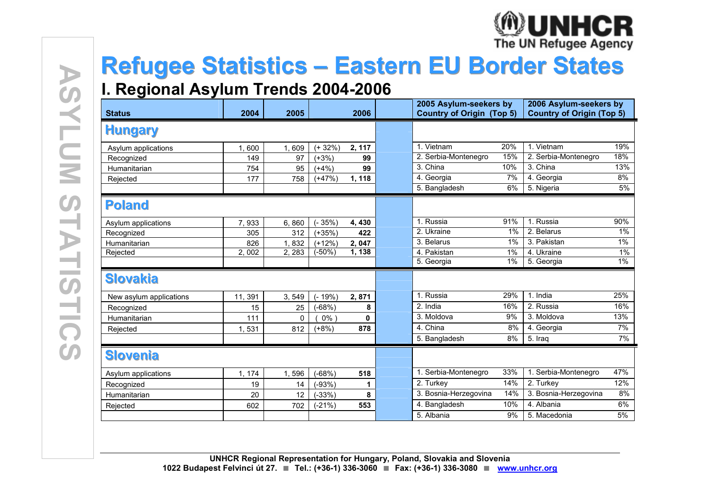

# Refugee Statistics – Eastern EU Border States

#### I Regional A I. Regional Asylum Trends 2004-2006

| <b>Status</b>           | 2004     | 2005         | 2005 Asylum-seekers by<br><b>Country of Origin (Top 5)</b><br>2006 |        | 2006 Asylum-seekers by<br><b>Country of Origin (Top 5)</b> |     |                          |       |
|-------------------------|----------|--------------|--------------------------------------------------------------------|--------|------------------------------------------------------------|-----|--------------------------|-------|
| <b>Hungary</b>          |          |              |                                                                    |        |                                                            |     |                          |       |
| Asylum applications     | 600<br>1 | 1,609        | $(+32%)$                                                           | 2, 117 | 1. Vietnam                                                 | 20% | 1. Vietnam               | 19%   |
| Recognized              | 149      | 97           | $(+3%)$                                                            | 99     | 2. Serbia-Montenegro                                       | 15% | 2. Serbia-Montenegro     | 18%   |
| Humanitarian            | 754      | 95           | $(+4%)$                                                            | 99     | 3. China                                                   | 10% | 3. China                 | 13%   |
| Rejected                | 177      | 758          | $(+47%)$                                                           | 1, 118 | $\overline{4}$ . Georgia                                   | 7%  | $\overline{4}$ . Georgia | 8%    |
|                         |          |              |                                                                    |        | 5. Bangladesh                                              | 6%  | 5. Nigeria               | 5%    |
| <b>Poland</b>           |          |              |                                                                    |        |                                                            |     |                          |       |
| Asylum applications     | 7,933    | 6,860        | $(-35%)$                                                           | 4,430  | 1. Russia                                                  | 91% | 1. Russia                | 90%   |
| Recognized              | 305      | 312          | $(+35%)$                                                           | 422    | 2. Ukraine                                                 | 1%  | 2. Belarus               | 1%    |
| Humanitarian            | 826      | 832          | $(+12%)$                                                           | 2,047  | 3. Belarus                                                 | 1%  | 3. Pakistan              | $1\%$ |
| Rejected                | 2.002    | 2, 283       | $-50%$                                                             | 1, 138 | 4. Pakistan                                                | 1%  | 4. Ukraine               | 1%    |
|                         |          |              |                                                                    |        | 5. Georgia                                                 | 1%  | 5. Georgia               | 1%    |
| <b>Slovakia</b>         |          |              |                                                                    |        |                                                            |     |                          |       |
| New asylum applications | 11, 391  | 3,549        | $-19%$                                                             | 2,871  | 1. Russia                                                  | 29% | 1. India                 | 25%   |
| Recognized              | 15       | 25           | $(-68%)$                                                           | 8      | 2. India                                                   | 16% | 2. Russia                | 16%   |
| Humanitarian            | 111      | $\mathbf{0}$ | $0\%$                                                              | 0      | 3. Moldova                                                 | 9%  | 3. Moldova               | 13%   |
| Rejected                | 1,531    | 812          | $(+8%)$                                                            | 878    | 4. China                                                   | 8%  | 4. Georgia               | 7%    |
|                         |          |              |                                                                    |        | 5. Bangladesh                                              | 8%  | 5. Iraq                  | 7%    |
| <b>Slovenia</b>         |          |              |                                                                    |        |                                                            |     |                          |       |
| Asylum applications     | 1, 174   | 1,596        | $-68%$                                                             | 518    | 1. Serbia-Montenegro                                       | 33% | 1. Serbia-Montenegro     | 47%   |
| Recognized              | 19       | 14           | $-93%$                                                             | 1      | 2. Turkey                                                  | 14% | 2. Turkey                | 12%   |
| Humanitarian            | 20       | 12           | $-33%$                                                             | 8      | 3. Bosnia-Herzegovina                                      | 14% | 3. Bosnia-Herzegovina    | 8%    |
| Rejected                | 602      | 702          | $(-21%)$                                                           | 553    | 4. Bangladesh                                              | 10% | 4. Albania               | 6%    |
|                         |          |              |                                                                    |        | 5. Albania                                                 | 9%  | 5. Macedonia             | 5%    |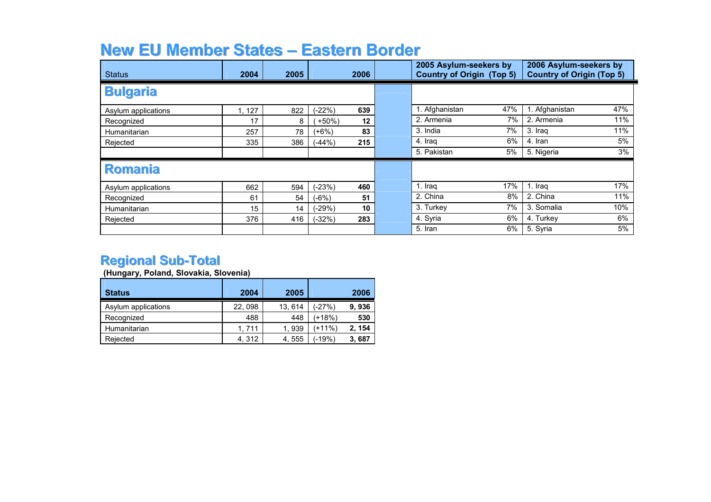# New EU Member States – Eastern Border<br>Letter Le

| <b>Status</b>       | 2004  | 2005 | 2006              | 2005 Asylum-seekers by<br><b>Country of Origin (Top 5)</b> | 2006 Asylum-seekers by<br><b>Country of Origin (Top 5)</b> |
|---------------------|-------|------|-------------------|------------------------------------------------------------|------------------------------------------------------------|
| <b>Bulgaria</b>     |       |      |                   |                                                            |                                                            |
| Asylum applications | 1,127 | 822  | 639<br>$(-22%)$   | 1. Afghanistan<br>47%                                      | 47%<br>. Afghanistan                                       |
| Recognized          | 17    | 8    | $12 \,$<br>$+50%$ | 2. Armenia<br>7%                                           | 11%<br>2. Armenia                                          |
| Humanitarian        | 257   | 78   | 83<br>(+6%)       | 3. India<br>7%                                             | 11%<br>3. Iraq                                             |
| Rejected            | 335   | 386  | 215<br>$(-44%)$   | 6%<br>4. Iraq                                              | 5%<br>4. Iran                                              |
|                     |       |      |                   | 5. Pakistan<br>5%                                          | 3%<br>5. Nigeria                                           |
| <b>Romania</b>      |       |      |                   |                                                            |                                                            |
| Asylum applications | 662   | 594  | $(-23%)$<br>460   | 17%<br>1. Iraq                                             | 17%<br>1. Iraq                                             |
| Recognized          | 61    | 54   | 51<br>$(-6%)$     | 2. China<br>8%                                             | 11%<br>2. China                                            |
| Humanitarian        | 15    | 14   | $(-29%)$<br>10    | 3. Turkey<br>7%                                            | 10%<br>3. Somalia                                          |
| Rejected            | 376   | 416  | 283<br>$(-32%)$   | 4. Syria<br>6%                                             | 6%<br>4. Turkey                                            |
|                     |       |      |                   | 5. Iran<br>6%                                              | 5%<br>5. Syria                                             |

#### Regional Sub-Total

(Hungary, Poland, Slovakia, Slovenia)

| <b>Status</b>       | 2004    | 2005   |        | 2006  |
|---------------------|---------|--------|--------|-------|
| Asylum applications | 22, 098 | 13.614 | (-27%) | 9,936 |
| Recognized          | 488     | 448    | (+18%) | 530   |
| Humanitarian        | 1.711   | 1.939  | (+11%) | 2.154 |
| Rejected            | 4, 312  | 4,555  | (-19%) | 3,687 |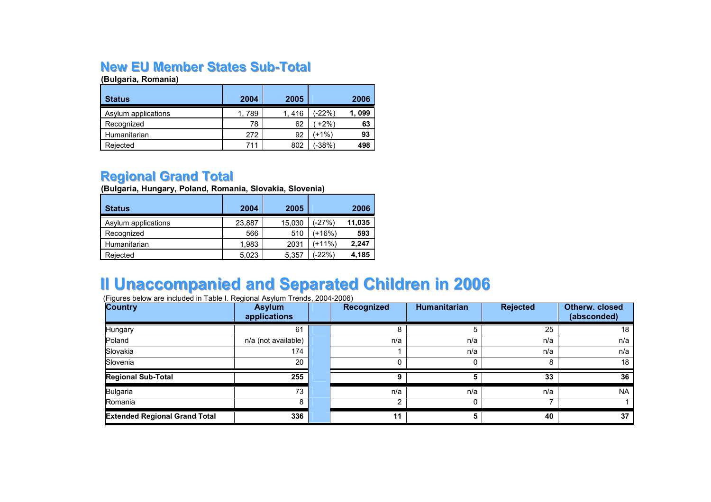### N**ew EU Member States Sub-Total**<br><sub>(Bulgaria, Romania)</sub>

(Bulgaria, Romania)

| <b>Status</b>       | 2004   | 2005  |        | 2006  |
|---------------------|--------|-------|--------|-------|
| Asylum applications | 1. 789 | 1,416 | (-22%) | 1,099 |
| Recognized          | 78     | 62    | $+2\%$ | 63    |
| Humanitarian        | 272    | 92    | (+1%   | 93    |
| Rejected            | 711    | 802   | (-38%) | 498   |

#### Regional Grand Total

(Bulgaria, Hungary, Poland, Romania, Slovakia, Slovenia)

| <b>Status</b>       | 2004   | 2005   |        | 2006   |
|---------------------|--------|--------|--------|--------|
| Asylum applications | 23.887 | 15,030 | (-27%) | 11,035 |
| Recognized          | 566    | 510    | (+16%) | 593    |
| Humanitarian        | 1.983  | 2031   | (+11%) | 2.247  |
| Rejected            | 5,023  | 5,357  | (-22%) | 4,185  |

## II Unaccompanied and Separated Children in <sup>2006</sup> (Figures below are included in Table I. Regional Asylum Trends, 2004-2006)

| Country                              | <b>Asylum</b><br>applications | <b>Recognized</b> | <b>Humanitarian</b> | <b>Rejected</b> | Otherw. closed<br>(absconded) |
|--------------------------------------|-------------------------------|-------------------|---------------------|-----------------|-------------------------------|
| Hungary                              | 61                            | 8                 |                     | 25              | 18                            |
| Poland                               | n/a (not available)           | n/a               | n/a                 | n/a             | n/a                           |
| Slovakia                             | 174                           |                   | n/a                 | n/a             | n/a                           |
| Slovenia                             | 20                            |                   |                     | 8               | 18                            |
| <b>Regional Sub-Total</b>            | 255                           | 9                 |                     | 33              | 36                            |
| <b>Bulgaria</b>                      | 73                            | n/a               | n/a                 | n/a             | <b>NA</b>                     |
| Romania                              |                               | ົ                 |                     |                 |                               |
| <b>Extended Regional Grand Total</b> | 336                           | 11                | 5                   | 40              | 37                            |